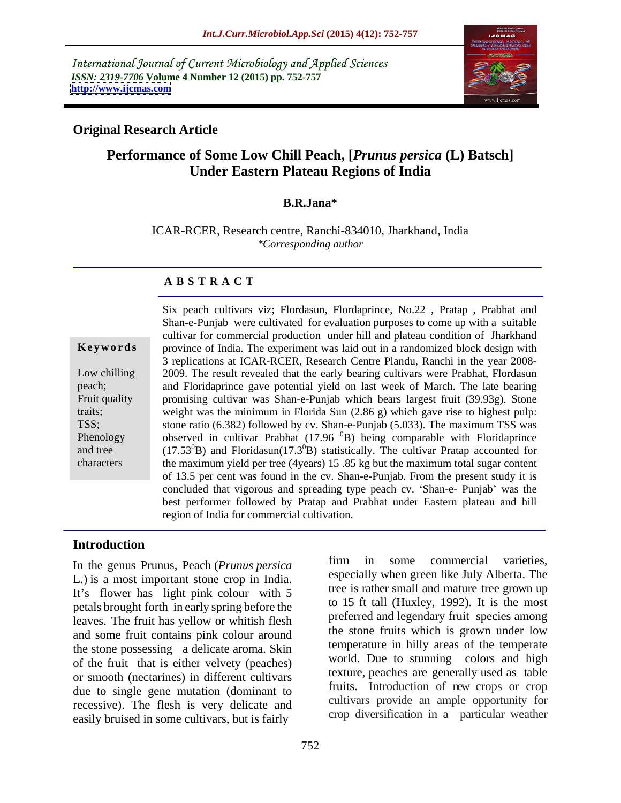International Journal of Current Microbiology and Applied Sciences *ISSN: 2319-7706* **Volume 4 Number 12 (2015) pp. 752-757 <http://www.ijcmas.com>**



# **Original Research Article**

# **Performance of Some Low Chill Peach, [***Prunus persica* **(L) Batsch] Under Eastern Plateau Regions of India**

#### **B.R.Jana\***

ICAR-RCER, Research centre, Ranchi-834010, Jharkhand, India *\*Corresponding author*

#### **A B S T R A C T**

characters

Six peach cultivars viz; Flordasun, Flordaprince, No.22 , Pratap , Prabhat and Shan-e-Punjab were cultivated for evaluation purposes to come up with a suitable cultivar for commercial production under hill and plateau condition of Jharkhand **Keywords** province of India. The experiment was laid out in a randomized block design with 3 replications at ICAR-RCER, Research Centre Plandu, Ranchi in the year 2008- Low chilling 2009. The result revealed that the early bearing cultivars were Prabhat, Flordasun and Floridaprince gave potential yield on last week of March. The late bearing peach; promising cultivar was Shan-e-Punjab which bears largest fruit (39.93g). Stone Fruit quality weight was the minimum in Florida Sun (2.86 g) which gave rise to highest pulp: traits; TSS; stone ratio (6.382) followed by cv. Shan-e-Punjab (5.033). The maximum TSS was Phenology observed in cultivar Prabhat (17.96 <sup>0</sup>B) being comparable with Floridaprince and tree (17.53 ${}^{0}B$ ) and Floridasun(17.3 ${}^{0}B$ ) statistically. The cultivar Pratap accounted for the maximum yield per tree (4years) 15 .85 kg but the maximum total sugar content of 13.5 per cent was found in the cv. Shan-e-Punjab. From the present study it is concluded that vigorous and spreading type peach cv. 'Shan-e- Punjab' was the best performer followed by Pratap and Prabhat under Eastern plateau and hill region of India for commercial cultivation.

#### **Introduction**

L*.*) is a most important stone crop in India. It's flower has light pink colour with 5 petals brought forth in early spring before the leaves. The fruit has yellow or whitish flesh and some fruit contains pink colour around the stone possessing a delicate aroma. Skin of the fruit that is either velvety (peaches) or smooth (nectarines) in different cultivars due to single gene mutation (dominant to recessive). The flesh is very delicate and easily bruised in some cultivars, but is fairly

In the genus Prunus, Peach (*Prunus persica* firm in some commercial varieties, firm in some commercial varieties, especially when green like July Alberta. The tree is rather small and mature tree grown up to 15 ft tall (Huxley, 1992). It is the most preferred and legendary fruit species among the stone fruits which is grown under low temperature in hilly areas of the temperate world. Due to stunning colors and high texture, peaches are generally used as table fruits. Introduction of new crops or crop cultivars provide an ample opportunity for crop diversification in a particular weather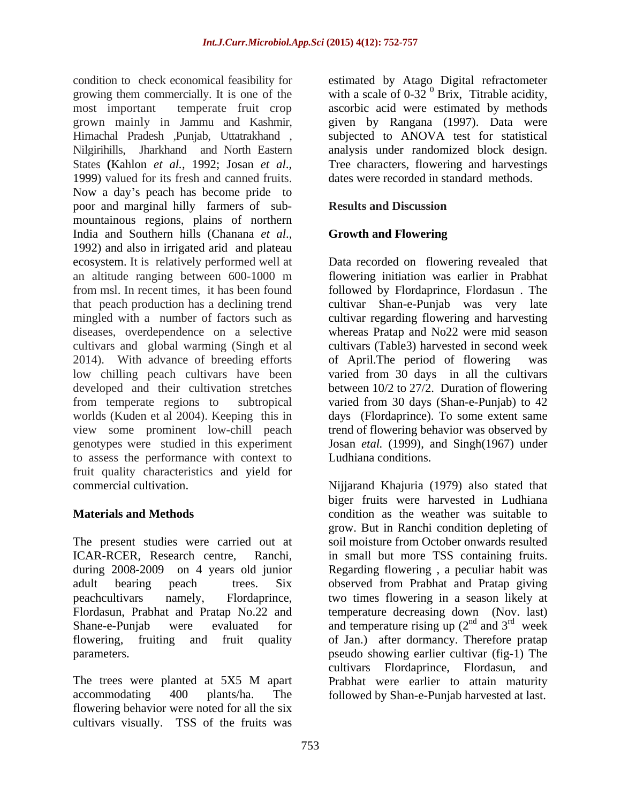condition to check economical feasibility for estimated by Atago Digital refractometer growing them commercially. It is one of the with a scale of  $0-32$   $^{0}$  Brix, Titrable acidity, most important temperate fruit crop ascorbic acid were estimated by methods grown mainly in Jammu and Kashmir, given by Rangana (1997). Data were Himachal Pradesh ,Punjab, Uttatrakhand , subjected to ANOVA test for statistical Nilgirihills, Jharkhand and North Eastern analysis under randomized block design. States (Kahlon *et al.*, 1992; Josan *et al.*, Tree characters, flowering and harvestings 1999) valued for its fresh and canned fruits. dates were recorded in standard methods. Now a day's peach has become pride to poor and marginal hilly farmers of sub mountainous regions, plains of northern India and Southern hills (Chanana *et al.*, Growth and Flowering 1992) and also in irrigated arid and plateau ecosystem. It is relatively performed well at Data recorded on flowering revealed that an altitude ranging between 600-1000 m flowering initiation was earlier in Prabhat from msl. In recent times, it has been found followed by Flordaprince, Flordasun . The that peach production has a declining trend cultivar Shan-e-Punjab was very late mingled with a number of factors such as cultivar regarding flowering and harvesting diseases, overdependence on a selective cultivars and global warming (Singh et al 2014). With advance of breeding efforts of April. The period of flowering was low chilling peach cultivars have been varied from 30 days in all the cultivars developed and their cultivation stretches from temperate regions to subtropical varied from 30 days (Shan-e-Punjab) to 42 worlds (Kuden et al 2004). Keeping this in days (Flordaprince). To some extent same view some prominent low-chill peach trend of flowering behavior was observed by genotypes were studied in this experiment Josan *etal.* (1999), and Singh(1967) under to assess the performance with context to fruit quality characteristics and yield for

The present studies were carried out at

accommodating 400 plants/ha. The followed by Shan-e-Punjab harvested at last. flowering behavior were noted for all the six cultivars visually. TSS of the fruits was

Tree characters, flowering and harvestings dates were recorded in standard methods.

# **Results and Discussion**

# **Growth and Flowering**

whereas Pratap and No22 were mid season cultivars (Table3) harvested in second week of April. The period of flowering between 10/2 to 27/2. Duration of flowering Ludhiana conditions.

commercial cultivation. Nijjarand Khajuria (1979) also stated that **Materials and Methods CONS CONS EXECUTE: CONS EXECUTE: CONS EXECUTE: CONS EXECUTE: CONS EXECUTE: CONS EXECUTE: CONS EXECUTE: CONS EXECUTE: CONS EXECUTE: CONS EXECUTE: CONS EXE** ICAR-RCER, Research centre, Ranchi, in small but more TSS containing fruits. during 2008-2009 on 4 years old junior Regarding flowering , a peculiar habit was adult bearing peach trees. Six observed from Prabhat and Pratap giving peachcultivars namely, Flordaprince, two times flowering in a season likely at Flordasun, Prabhat and Pratap No.22 and temperature decreasing down (Nov. last) Shane-e-Punjab were evaluated for and temperature rising up  $(2^{na}$  and  $3^{ra}$  week flowering, fruiting and fruit quality of Jan.) after dormancy. Therefore pratap parameters. pseudo showing earlier cultivar (fig-1) The The trees were planted at 5X5 M apart Prabhat were earlier to attain maturity biger fruits were harvested in Ludhiana grow. But in Ranchi condition depleting of soil moisture from October onwards resulted  $^{nd}$  and  $2^{rd}$  wook and  $3^{ra}$  week rd wook week cultivars Flordaprince, Flordasun, and Prabhat were earlier to attain maturity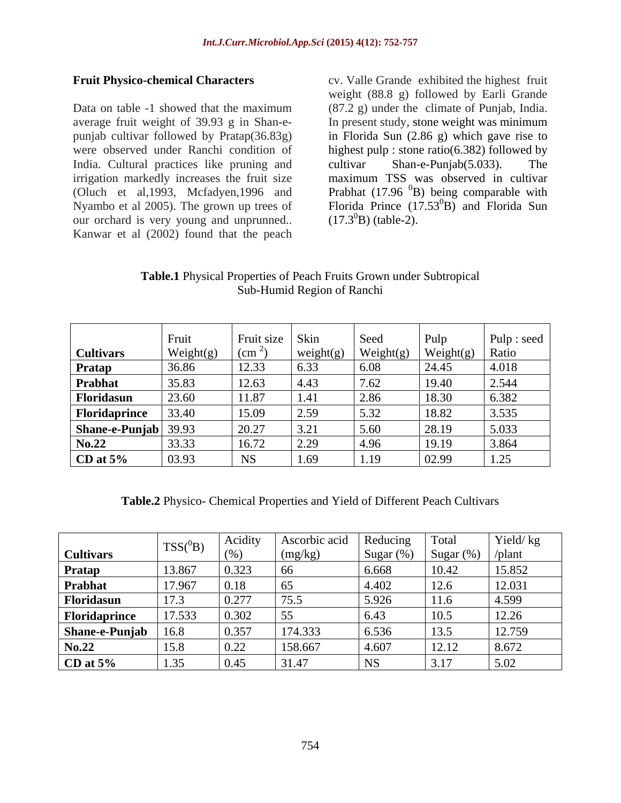Data on table -1 showed that the maximum (87.2 g) under the climate of Punjab, India. average fruit weight of 39.93 g in Shan-e- In present study, stone weight was minimum punjab cultivar followed by Pratap(36.83g) in Florida Sun (2.86 g) which gave rise to were observed under Ranchi condition of highest pulp : stone ratio(6.382) followed by India. Cultural practices like pruning and cultivar Shan-e-Punjab(5.033). The irrigation markedly increases the fruit size (Oluch et al, 1993, Mcfadyen, 1996 and Prabhat  $(17.96<sup>0</sup>B)$  being comparable with Nyambo et al 2005). The grown up trees of Florida Prince (17.53<sup>0</sup>B) and Florida Sun our orchard is very young and unprunned.. Kanwar et al (2002) found that the peach

**Fruit Physico-chemical Characters** cv. Valle Grande exhibited the highest fruit weight (88.8 g) followed by Earli Grande cultivar Shan-e-Punjab(5.033). The maximum TSS was observed in cultivar  $^{0}$ B) and Florida Sun  $(17.3^{0}B)$  (table-2).

**Table.1** Physical Properties of Peach Fruits Grown under Subtropical Sub-Humid Region of Ranchi

|                         | Fruit     | Fruit size   Skin |           | Seed                                                     | Pulp                                                                                                             | Pulp : seed  |
|-------------------------|-----------|-------------------|-----------|----------------------------------------------------------|------------------------------------------------------------------------------------------------------------------|--------------|
| <b>Cultivars</b>        | Weight(g) | (c <sub>m</sub> ) | weight(g) | $\left \frac{\text{Weight}(g)}{\text{Weight}(g)}\right $ | $\begin{array}{ l c c c }\n\hline \text{Weight(g)} & \text{Ratio} \\ \hline 24.45 & 4.018 \\ \hline \end{array}$ |              |
| Pratap                  | 36.86     | 12.33             | 6.33      | 6.08                                                     |                                                                                                                  |              |
| Prabhat                 | 35.83     | 12.63             | 4.43      | 7.62                                                     | 19.40                                                                                                            | 2.544        |
| Floridasun              | 23.60     | 11.87             | 1.41      | 2.86                                                     | 18.30                                                                                                            | 6.382        |
| Floridaprince           | 33.40     | 15.09             | 2.59      | 5.32                                                     | 18.82                                                                                                            | 3.535        |
| <b>Shane-e-Punjab</b> 3 |           | 20.27             | 3.21      | 5.60                                                     | 28.19                                                                                                            | 5.033        |
| N <sub>0.22</sub>       | 33.33     | 16.72             | 2.29      | 4.96                                                     | 19.19                                                                                                            | 3.864        |
| CD at $5%$              | 03.93     | <b>NS</b>         | 1.69      | 1.19                                                     | 02.99                                                                                                            | 1.25<br>1.2J |

**Table.2** Physico- Chemical Properties and Yield of Different Peach Cultivars

|                              |             | Acidity | Ascorbic acid | Reducing    | Total                 | Yield/kg |
|------------------------------|-------------|---------|---------------|-------------|-----------------------|----------|
| Cultivars                    | 122(T       |         | (mg/kg)       | Sugar       | Sugar $(\%)$   /plant |          |
| Pratap                       | 13.867      | 0.323   |               | 6.668       | 10.42                 | 15.852   |
| <b>Prabhat</b><br>Floridasun | 17.967      | 0.18    |               | 4.402       | 12.6                  | 12.031   |
|                              | 172<br>17.9 | 0.277   | 75.5          | 15.926      | 11.6                  | 4.599    |
| Floridaprince                | 17.533      | 0.302   |               | 6.43        | 10.5                  | 12.26    |
| Shane-e-Punjab               |             | 0.357   | 174.333       | 6.536       | 13.5                  | 12.759   |
| No.22                        | 15.8        | 0.22    | 158.667       | 4.607       | 12.12                 | 8.672    |
| $CD$ at $5\%$                | 1.35        | 0.45    | 31.47         | $N_{\rm c}$ | 3.17                  | 5.02     |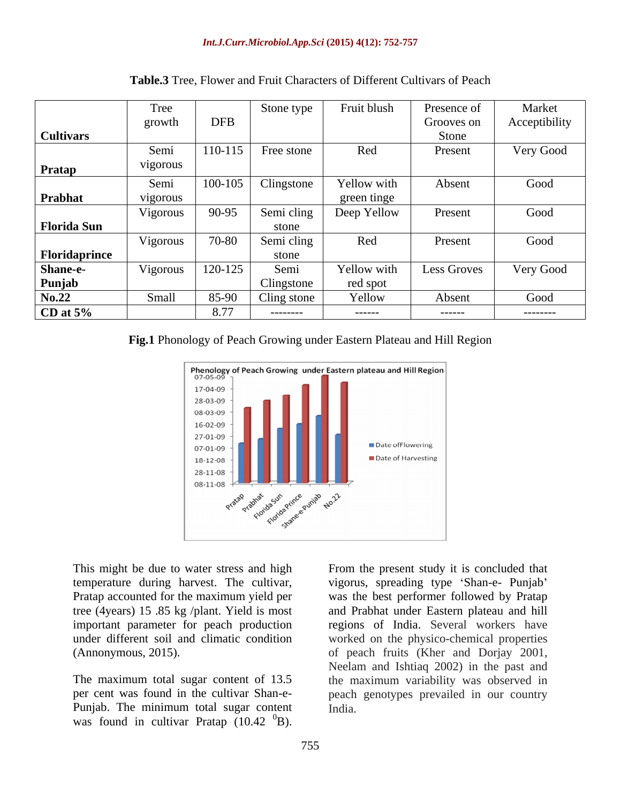|                    | Tree             |            | Stone type           | Fruit blush | Presence of        | Market        |
|--------------------|------------------|------------|----------------------|-------------|--------------------|---------------|
|                    | growth           | <b>DFB</b> |                      |             | Grooves on         | Acceptibility |
| <b>Cultivars</b>   |                  |            |                      |             | Stone              |               |
|                    | Semi             |            | $110-115$ Free stone | Red         | Present            | Very Good     |
|                    | vigorous         |            |                      |             |                    |               |
| <b>Pratap</b>      |                  |            |                      |             |                    |               |
|                    | Semi             | 100-105    | Clingstone           | Yellow with | Absent             | Good          |
| Prabhat            | vigorous         |            |                      | green tinge |                    |               |
|                    | Vigorous         | 90-95      | Semi cling           | Deep Yellow | Present            | Good          |
| <b>Florida Sun</b> |                  |            | stone                |             |                    |               |
|                    | Vigorous         | 70-80      |                      |             | Present            | Good          |
|                    |                  |            | Semi cling           | Red         |                    |               |
| Floridaprince      |                  |            | stone                |             |                    |               |
| <b>Shane-e-</b>    | Vigorous 120-125 |            | Semi                 | Yellow with | <b>Less Groves</b> | Very Good     |
| Punjab             |                  |            | Clingstone           | red spot    |                    |               |
| No.22              | Small            | 85-90      | Cling stone          | Yellow      | Absent             | Good          |
| CD at $5%$         |                  | 8.77       | ---------            | ------      | -------            | ---------     |

**Table.3** Tree, Flower and Fruit Characters of Different Cultivars of Peach

# **Fig.1** Phonology of Peach Growing under Eastern Plateau and Hill Region



temperature during harvest. The cultivar, tree (4years) 15 .85 kg /plant. Yield is most under different soil and climatic condition

Punjab. The minimum total sugar content was found in cultivar Pratap  $(10.42 \text{ }^{0}B)$ .

This might be due to water stress and high From the present study it is concluded that Pratap accounted for the maximum yield per was the best performer followed by Pratap important parameter for peach production regions of India. Several workers have (Annonymous, 2015). of peach fruits (Kher and Dorjay 2001, The maximum total sugar content of 13.5 the maximum variability was observed in per cent was found in the cultivar Shan-e- peach genotypes prevailed in our country  ${}^{0}$ B). vigorus, spreading type 'Shan-e- Punjab' and Prabhat under Eastern plateau and hill worked on the physico-chemical properties Neelam and Ishtiaq 2002) in the past and India.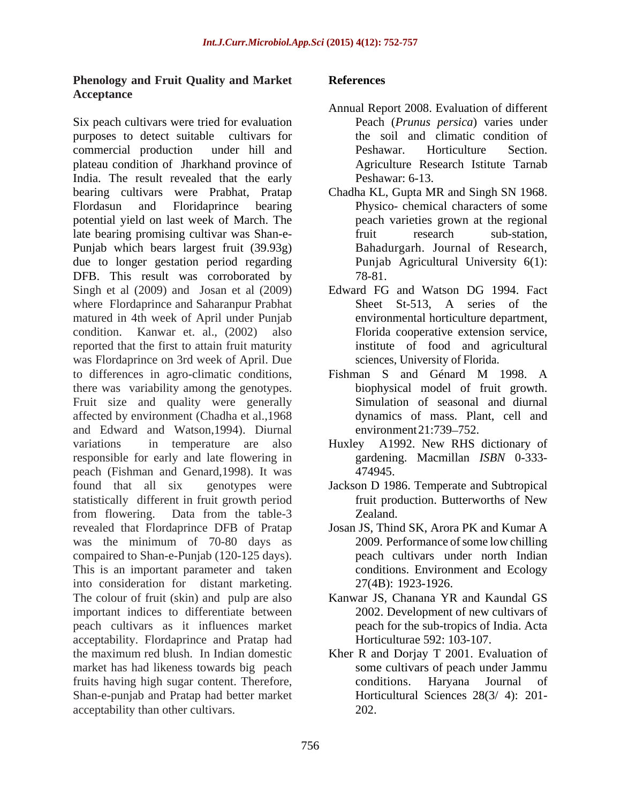# **Phenology and Fruit Quality and Market Acceptance**

Six peach cultivars were tried for evaluation purposes to detect suitable cultivars for commercial production under hill and plateau condition of Jharkhand province of India. The result revealed that the early bearing cultivars were Prabhat, Pratap Chadha KL, Gupta MR and Singh SN 1968. Flordasun and Floridaprince bearing Physico- chemical characters of some potential yield on last week of March. The late bearing promising cultivar was Shan-e- Punjab which bears largest fruit (39.93g) due to longer gestation period regarding DFB. This result was corroborated by 78-81.<br>Singh et al (2009) and Josan et al (2009) Edward FG and Watson DG 1994. Fact where Flordaprince and Saharanpur Prabhat Sheet St-513, A series of the matured in 4th week of April under Punjab condition. Kanwar et. al., (2002) also reported that the first to attain fruit maturity was Flordaprince on 3rd week of April. Due to differences in agro-climatic conditions, Fishman S and Génard M 1998. A there was variability among the genotypes. Fruit size and quality were generally affected by environment (Chadha et al.,1968 and Edward and Watson,1994). Diurnal variations in temperature are also Huxley A1992. New RHS dictionary of responsible for early and late flowering in peach (Fishman and Genard,1998). It was found that all six genotypes were Jackson D 1986. Temperate and Subtropical statistically different in fruit growth period from flowering. Data from the table-3 revealed that Flordaprince DFB of Pratap Josan JS, Thind SK, Arora PK and Kumar A was the minimum of 70-80 days as 2009. Performance of some low chilling compaired to Shan-e-Punjab (120-125 days). This is an important parameter and taken into consideration for distant marketing. The colour of fruit (skin) and pulp are also important indices to differentiate between peach cultivars as it influences market acceptability. Flordaprince and Pratap had the maximum red blush. In Indian domestic Kher R and Dorjay T 2001. Evaluation of market has had likeness towards big peach fruits having high sugar content. Therefore, Shan-e-punjab and Pratap had better market acceptability than other cultivars.

## **References**

- Annual Report 2008. Evaluation of different Peach (*Prunus persica*) varies under the soil and climatic condition of Peshawar. Horticulture Section. Agriculture Research Istitute Tarnab Peshawar: 6-13.
- peach varieties grown at the regional fruit research sub-station, Bahadurgarh. Journal of Research, Punjab Agricultural University 6(1): 78-81.
- Edward FG and Watson DG 1994. Fact Sheet St-513, A series of the environmental horticulture department, Florida cooperative extension service, institute of food and agricultural sciences, University of Florida.
- Fishman S and Génard M 1998. A biophysical model of fruit growth. Simulation of seasonal and diurnal dynamics of mass. Plant, cell and environment  $21:739-752$ .
- Huxley A1992. New RHS dictionary of gardening. Macmillan *ISBN* 0-333- 474945.
- fruit production. Butterworths of New zealand.
- 2009. Performance of some low chilling peach cultivars under north Indian conditions. Environment and Ecology 27(4B): 1923-1926.
- Kanwar JS, Chanana YR and Kaundal GS 2002. Development of new cultivars of peach for the sub-tropics of India. Acta Horticulturae 592: 103-107.
- some cultivars of peach under Jammu conditions. Haryana Journal of Horticultural Sciences 28(3/ 4): 201- 202.